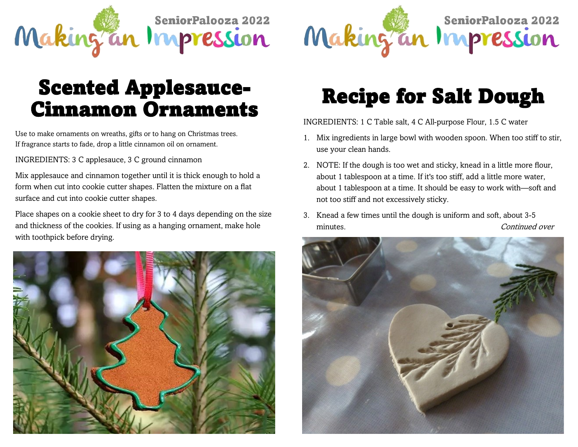

## Recipe for Salt Dough

INGREDIENTS: 1 C Table salt, 4 C All-purpose Flour, 1.5 C water

- 1. Mix ingredients in large bowl with wooden spoon. When too stiff to stir, use your clean hands.
- 2. NOTE: If the dough is too wet and sticky, knead in a little more flour, about 1 tablespoon at a time. If it's too stiff, add a little more water, about 1 tablespoon at a time. It should be easy to work with—soft and not too stiff and not excessively sticky.
- 3. Knead a few times until the dough is uniform and soft, about 3-5 minutes. The continued over the continued over the continued over  $\alpha$